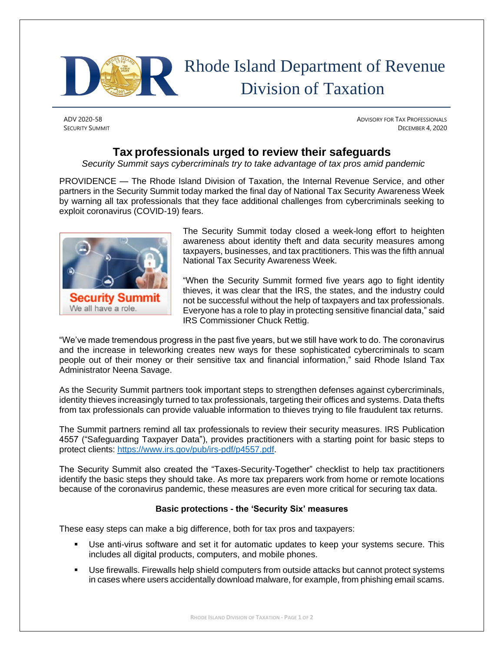

## Rhode Island Department of Revenue Division of Taxation

ADV 2020-58 ADVISORY FOR TAX PROFESSIONALS **SECURITY SUMMIT** DECEMBER 4, 2020

## **Tax professionals urged to review their safeguards**

*Security Summit says cybercriminals try to take advantage of tax pros amid pandemic*

PROVIDENCE — The Rhode Island Division of Taxation, the Internal Revenue Service, and other partners in the Security Summit today marked the final day of National Tax Security Awareness Week by warning all tax professionals that they face additional challenges from cybercriminals seeking to exploit coronavirus (COVID-19) fears.



The Security Summit today closed a week-long effort to heighten awareness about identity theft and data security measures among taxpayers, businesses, and tax practitioners. This was the fifth annual National Tax Security Awareness Week.

"When the Security Summit formed five years ago to fight identity thieves, it was clear that the IRS, the states, and the industry could not be successful without the help of taxpayers and tax professionals. Everyone has a role to play in protecting sensitive financial data," said IRS Commissioner Chuck Rettig.

"We've made tremendous progress in the past five years, but we still have work to do. The coronavirus and the increase in teleworking creates new ways for these sophisticated cybercriminals to scam people out of their money or their sensitive tax and financial information," said Rhode Island Tax Administrator Neena Savage.

As the Security Summit partners took important steps to strengthen defenses against cybercriminals, identity thieves increasingly turned to tax professionals, targeting their offices and systems. Data thefts from tax professionals can provide valuable information to thieves trying to file fraudulent tax returns.

The Summit partners remind all tax professionals to review their security measures. IRS Publication 4557 ("Safeguarding Taxpayer Data"), provides practitioners with a starting point for basic steps to protect clients: [https://www.irs.gov/pub/irs-pdf/p4557.pdf.](https://www.irs.gov/pub/irs-pdf/p4557.pdf)

The Security Summit also created the "Taxes-Security-Together" checklist to help tax practitioners identify the basic steps they should take. As more tax preparers work from home or remote locations because of the coronavirus pandemic, these measures are even more critical for securing tax data.

## **Basic protections - the 'Security Six' measures**

These easy steps can make a big difference, both for tax pros and taxpayers:

- Use anti-virus software and set it for automatic updates to keep your systems secure. This includes all digital products, computers, and mobile phones.
- Use firewalls. Firewalls help shield computers from outside attacks but cannot protect systems in cases where users accidentally download malware, for example, from phishing email scams.